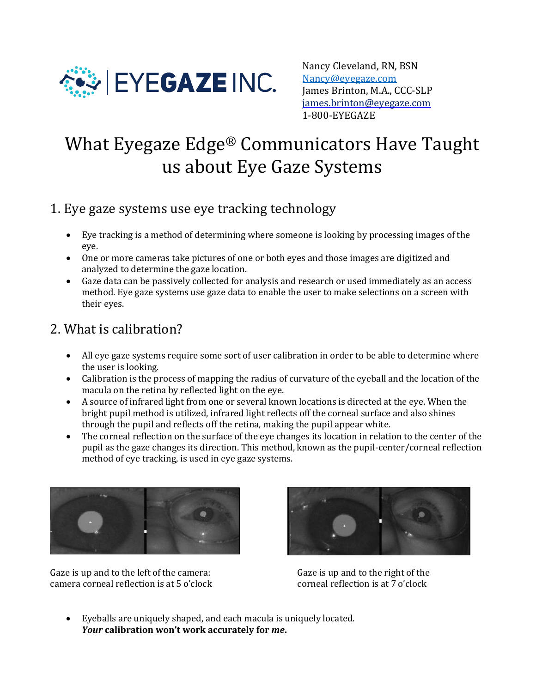

Nancy Cleveland, RN, BSN [Nancy@eyegaze.com](mailto:Nancy@eyegaze.com) James Brinton, M.A., CCC-SLP [james.brinton@eyegaze.com](mailto:james.brinton@eyegaze.com) 1-800-EYEGAZE

# What Eyegaze Edge® Communicators Have Taught us about Eye Gaze Systems

#### 1. Eye gaze systems use eye tracking technology

- Eye tracking is a method of determining where someone is looking by processing images of the eye.
- One or more cameras take pictures of one or both eyes and those images are digitized and analyzed to determine the gaze location.
- Gaze data can be passively collected for analysis and research or used immediately as an access method. Eye gaze systems use gaze data to enable the user to make selections on a screen with their eyes.

## 2. What is calibration?

- All eye gaze systems require some sort of user calibration in order to be able to determine where the user is looking.
- Calibration is the process of mapping the radius of curvature of the eyeball and the location of the macula on the retina by reflected light on the eye.
- A source of infrared light from one or several known locations is directed at the eye. When the bright pupil method is utilized, infrared light reflects off the corneal surface and also shines through the pupil and reflects off the retina, making the pupil appear white.
- The corneal reflection on the surface of the eye changes its location in relation to the center of the pupil as the gaze changes its direction. This method, known as the pupil-center/corneal reflection method of eye tracking, is used in eye gaze systems.



Gaze is up and to the left of the camera: Gaze is up and to the right of the camera corneal reflection is at 5 o'clock corneal reflection is at 7 o'clock



• Eyeballs are uniquely shaped, and each macula is uniquely located. *Your* **calibration won't work accurately for** *me***.**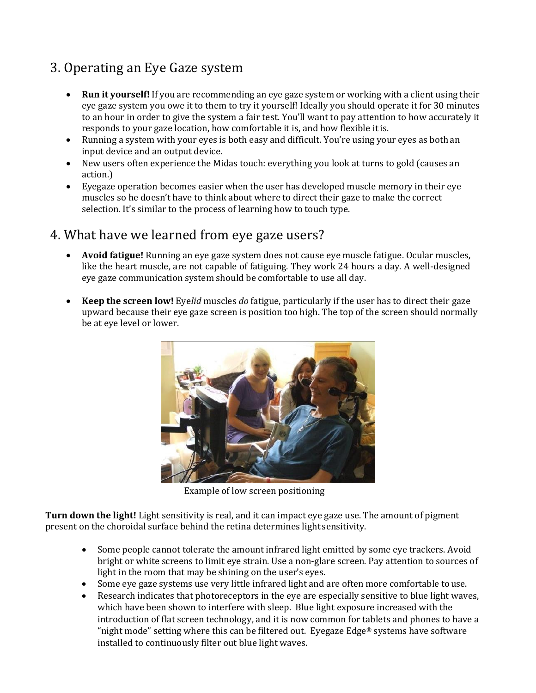# 3. Operating an Eye Gaze system

- **Run it yourself!** If you are recommending an eye gaze system or working with a client using their eye gaze system you owe it to them to try it yourself! Ideally you should operate it for 30 minutes to an hour in order to give the system a fair test. You'll want to pay attention to how accurately it responds to your gaze location, how comfortable it is, and how flexible itis.
- Running a system with your eyes is both easy and difficult. You're using your eyes as both an input device and an output device.
- New users often experience the Midas touch: everything you look at turns to gold (causes an action.)
- Eyegaze operation becomes easier when the user has developed muscle memory in their eye muscles so he doesn't have to think about where to direct their gaze to make the correct selection. It's similar to the process of learning how to touch type.

#### 4. What have we learned from eye gaze users?

- **Avoid fatigue!** Running an eye gaze system does not cause eye muscle fatigue. Ocular muscles, like the heart muscle, are not capable of fatiguing. They work 24 hours a day. A well-designed eye gaze communication system should be comfortable to use all day.
- **Keep the screen low!** Eye*lid* muscles *do* fatigue, particularly if the user has to direct their gaze upward because their eye gaze screen is position too high. The top of the screen should normally be at eye level or lower.



Example of low screen positioning

**Turn down the light!** Light sensitivity is real, and it can impact eye gaze use. The amount of pigment present on the choroidal surface behind the retina determines light sensitivity.

- Some people cannot tolerate the amount infrared light emitted by some eye trackers. Avoid bright or white screens to limit eye strain. Use a non-glare screen. Pay attention to sources of light in the room that may be shining on the user's eyes.
- Some eye gaze systems use very little infrared light and are often more comfortable touse.
- Research indicates that photoreceptors in the eye are especially sensitive to blue light waves, which have been shown to interfere with sleep. Blue light exposure increased with the introduction of flat screen technology, and it is now common for tablets and phones to have a "night mode" setting where this can be filtered out. Eyegaze Edge® systems have software installed to continuously filter out blue light waves.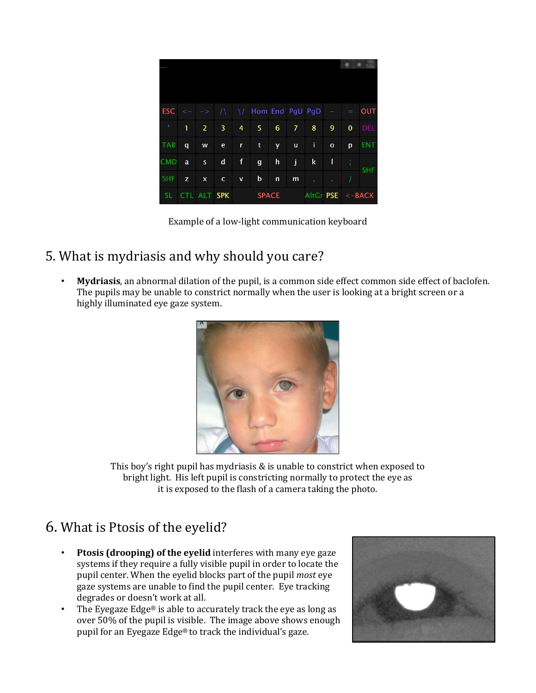|            |              |                                 |                |                |                                                |              |                |              |                                          | ۰<br>Q            |            |
|------------|--------------|---------------------------------|----------------|----------------|------------------------------------------------|--------------|----------------|--------------|------------------------------------------|-------------------|------------|
|            |              |                                 |                |                |                                                |              |                |              |                                          |                   |            |
|            |              | $\mathsf{ESC}$ <- $\rightarrow$ |                |                | $\sqrt{1 + \sqrt{1 + \text{Hom}}}$ End PgU PgD |              |                |              | $\frac{1}{2} \left( \frac{1}{2} \right)$ | $\equiv$          | <b>OUT</b> |
| J.         | 1            | $\overline{2}$                  | $\overline{3}$ | $\overline{4}$ | 5.                                             | 6            | $\overline{7}$ | 8            | 9                                        | $\mathbf 0$       | <b>DEL</b> |
| <b>TAB</b> | $\mathbf{q}$ | W                               | $\mathbf{e}$   | $\mathbf{r}$   | $\mathbf t$                                    | <b>y</b>     | ū              | $\mathbf{I}$ | $\mathbf{o}$                             | p                 | <b>ENT</b> |
| <b>CMD</b> | a            | $\mathsf{s}$                    | d              | $\mathsf f$    | $\mathbf{q}$                                   | $\mathsf{h}$ | j              | k            | T                                        | ÷,                | <b>SHF</b> |
| <b>SHF</b> | z            | $\boldsymbol{\mathsf{x}}$       | $\mathbf{C}$   | $\mathbf v$    | b                                              | $\mathsf{n}$ | m              | $\mathbf{r}$ | ¥                                        |                   |            |
| SL.        |              | CTL ALT SPK                     |                | <b>SPACE</b>   |                                                |              |                |              |                                          | AltGr PSE <- BACK |            |

Example of a low-light communication keyboard

## 5. What is mydriasis and why should you care?

• **Mydriasis**, an abnormal dilation of the pupil, is a common side effect common side effect of baclofen. The pupils may be unable to constrict normally when the user is looking at a bright screen or a highly illuminated eye gaze system.



This boy's right pupil has mydriasis & is unable to constrict when exposed to bright light. His left pupil is constricting normally to protect the eye as it is exposed to the flash of a camera taking the photo.

# 6. What is Ptosis of the eyelid?

- **Ptosis (drooping) of the eyelid** interferes with many eye gaze systems if they require a fully visible pupil in order to locate the pupil center. When the eyelid blocks part of the pupil *most* eye gaze systems are unable to find the pupil center. Eye tracking degrades or doesn't work at all.
- The Eyegaze Edge® is able to accurately track the eye as long as over 50% of the pupil is visible. The image above shows enough pupil for an Eyegaze Edge® to track the individual's gaze.

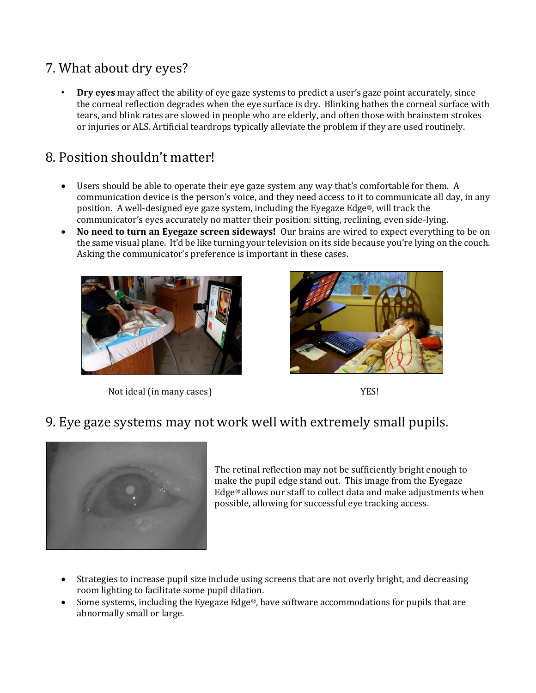# 7. What about dry eyes?

• **Dry eyes** may affect the ability of eye gaze systems to predict a user's gaze point accurately, since the corneal reflection degrades when the eye surface is dry. Blinking bathes the corneal surface with tears, and blink rates are slowed in people who are elderly, and often those with brainstem strokes or injuries or ALS. Artificial teardrops typically alleviate the problem if they are used routinely.

#### 8. Position shouldn't matter!

- Users should be able to operate their eye gaze system any way that's comfortable for them. A communication device is the person's voice, and they need access to it to communicate all day, in any position. A well-designed eye gaze system, including the Eyegaze Edge®, will track the communicator's eyes accurately no matter their position: sitting, reclining, even side-lying.
- **No need to turn an Eyegaze screen sideways!** Our brains are wired to expect everything to be on the same visual plane. It'd be like turning your television on its side because you're lying on the couch. Asking the communicator's preference is important in these cases.



Not ideal (in many cases) YES!



#### 9. Eye gaze systems may not work well with extremely small pupils.



The retinal reflection may not be sufficiently bright enough to make the pupil edge stand out. This image from the Eyegaze Edge® allows our staff to collect data and make adjustments when possible, allowing for successful eye tracking access.

- Strategies to increase pupil size include using screens that are not overly bright, and decreasing room lighting to facilitate some pupil dilation.
- Some systems, including the Eyegaze Edge®, have software accommodations for pupils that are abnormally small or large.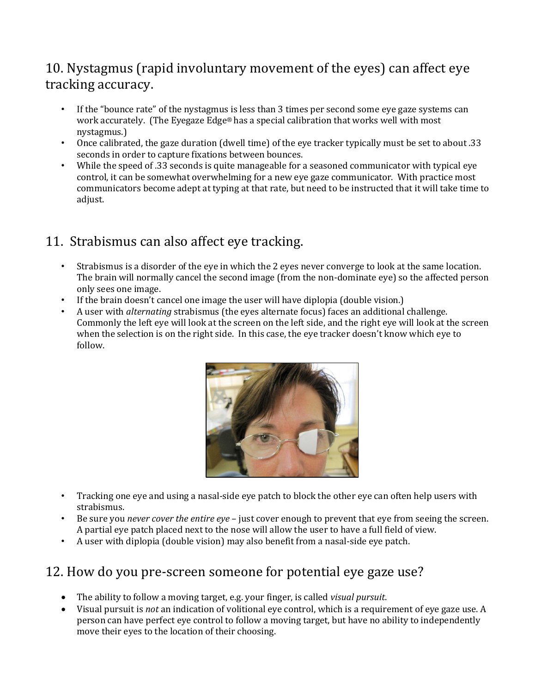# 10. Nystagmus (rapid involuntary movement of the eyes) can affect eye tracking accuracy.

- If the "bounce rate" of the nystagmus is less than 3 times per second some eye gaze systems can work accurately. (The Eyegaze Edge® has a special calibration that works well with most nystagmus.)
- Once calibrated, the gaze duration (dwell time) of the eye tracker typically must be set to about .33 seconds in order to capture fixations between bounces.
- While the speed of .33 seconds is quite manageable for a seasoned communicator with typical eye control, it can be somewhat overwhelming for a new eye gaze communicator. With practice most communicators become adept at typing at that rate, but need to be instructed that it will take time to adjust.

## 11. Strabismus can also affect eye tracking.

- Strabismus is a disorder of the eye in which the 2 eyes never converge to look at the same location. The brain will normally cancel the second image (from the non-dominate eye) so the affected person only sees one image.
- If the brain doesn't cancel one image the user will have diplopia (double vision.)
- A user with *alternating* strabismus (the eyes alternate focus) faces an additional challenge. Commonly the left eye will look at the screen on the left side, and the right eye will look at the screen when the selection is on the right side. In this case, the eye tracker doesn't know which eye to follow.



- Tracking one eye and using a nasal-side eye patch to block the other eye can often help users with strabismus.
- Be sure you *never cover the entire eye* just cover enough to prevent that eye from seeing the screen. A partial eye patch placed next to the nose will allow the user to have a full field of view.
- A user with diplopia (double vision) may also benefit from a nasal-side eye patch.

#### 12. How do you pre-screen someone for potential eye gaze use?

- The ability to follow a moving target, e.g. your finger, is called *visual pursuit*.
- Visual pursuit is *not* an indication of volitional eye control, which is a requirement of eye gaze use. A person can have perfect eye control to follow a moving target, but have no ability to independently move their eyes to the location of their choosing.